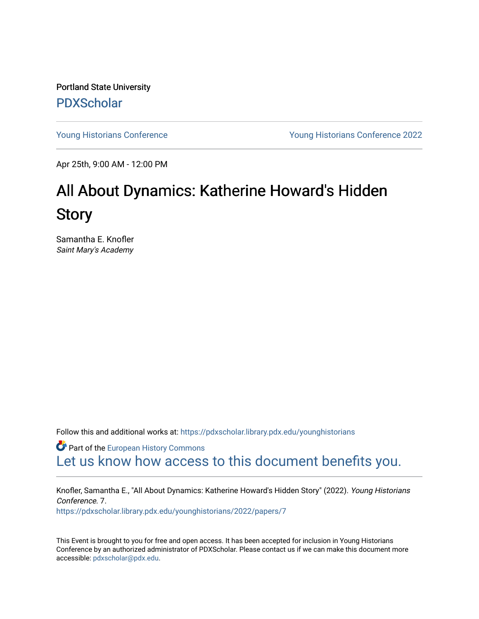Portland State University [PDXScholar](https://pdxscholar.library.pdx.edu/)

[Young Historians Conference](https://pdxscholar.library.pdx.edu/younghistorians) [Young Historians Conference 2022](https://pdxscholar.library.pdx.edu/younghistorians/2022) 

Apr 25th, 9:00 AM - 12:00 PM

## All About Dynamics: Katherine Howard's Hidden **Story**

Samantha E. Knofler Saint Mary's Academy

Follow this and additional works at: [https://pdxscholar.library.pdx.edu/younghistorians](https://pdxscholar.library.pdx.edu/younghistorians?utm_source=pdxscholar.library.pdx.edu%2Fyounghistorians%2F2022%2Fpapers%2F7&utm_medium=PDF&utm_campaign=PDFCoverPages)

**Part of the [European History Commons](http://network.bepress.com/hgg/discipline/492?utm_source=pdxscholar.library.pdx.edu%2Fyounghistorians%2F2022%2Fpapers%2F7&utm_medium=PDF&utm_campaign=PDFCoverPages)** [Let us know how access to this document benefits you.](http://library.pdx.edu/services/pdxscholar-services/pdxscholar-feedback/) 

Knofler, Samantha E., "All About Dynamics: Katherine Howard's Hidden Story" (2022). Young Historians Conference. 7. [https://pdxscholar.library.pdx.edu/younghistorians/2022/papers/7](https://pdxscholar.library.pdx.edu/younghistorians/2022/papers/7?utm_source=pdxscholar.library.pdx.edu%2Fyounghistorians%2F2022%2Fpapers%2F7&utm_medium=PDF&utm_campaign=PDFCoverPages)

This Event is brought to you for free and open access. It has been accepted for inclusion in Young Historians Conference by an authorized administrator of PDXScholar. Please contact us if we can make this document more accessible: [pdxscholar@pdx.edu.](mailto:pdxscholar@pdx.edu)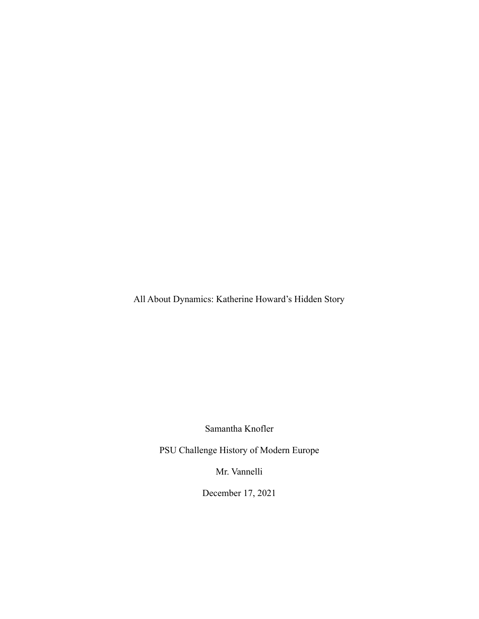All About Dynamics: Katherine Howard's Hidden Story

Samantha Knofler

PSU Challenge History of Modern Europe

Mr. Vannelli

December 17, 2021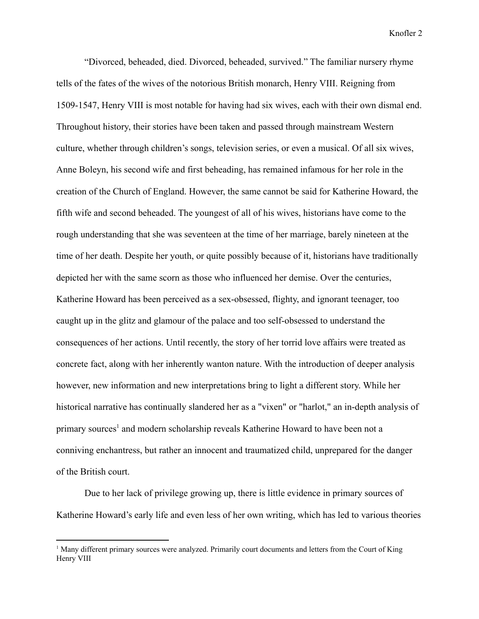"Divorced, beheaded, died. Divorced, beheaded, survived." The familiar nursery rhyme tells of the fates of the wives of the notorious British monarch, Henry VIII. Reigning from 1509-1547, Henry VIII is most notable for having had six wives, each with their own dismal end. Throughout history, their stories have been taken and passed through mainstream Western culture, whether through children's songs, television series, or even a musical. Of all six wives, Anne Boleyn, his second wife and first beheading, has remained infamous for her role in the creation of the Church of England. However, the same cannot be said for Katherine Howard, the fifth wife and second beheaded. The youngest of all of his wives, historians have come to the rough understanding that she was seventeen at the time of her marriage, barely nineteen at the time of her death. Despite her youth, or quite possibly because of it, historians have traditionally depicted her with the same scorn as those who influenced her demise. Over the centuries, Katherine Howard has been perceived as a sex-obsessed, flighty, and ignorant teenager, too caught up in the glitz and glamour of the palace and too self-obsessed to understand the consequences of her actions. Until recently, the story of her torrid love affairs were treated as concrete fact, along with her inherently wanton nature. With the introduction of deeper analysis however, new information and new interpretations bring to light a different story. While her historical narrative has continually slandered her as a "vixen" or "harlot," an in-depth analysis of primary sources<sup>1</sup> and modern scholarship reveals Katherine Howard to have been not a conniving enchantress, but rather an innocent and traumatized child, unprepared for the danger of the British court.

Due to her lack of privilege growing up, there is little evidence in primary sources of Katherine Howard's early life and even less of her own writing, which has led to various theories

<sup>&</sup>lt;sup>1</sup> Many different primary sources were analyzed. Primarily court documents and letters from the Court of King Henry VIII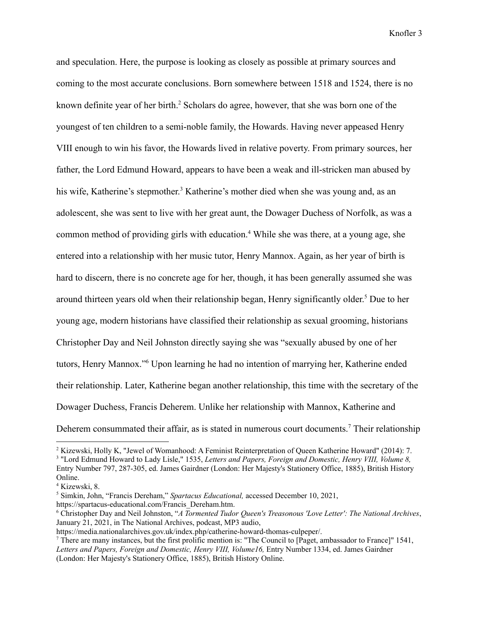and speculation. Here, the purpose is looking as closely as possible at primary sources and coming to the most accurate conclusions. Born somewhere between 1518 and 1524, there is no known definite year of her birth.<sup>2</sup> Scholars do agree, however, that she was born one of the youngest of ten children to a semi-noble family, the Howards. Having never appeased Henry VIII enough to win his favor, the Howards lived in relative poverty. From primary sources, her father, the Lord Edmund Howard, appears to have been a weak and ill-stricken man abused by his wife, Katherine's stepmother.<sup>3</sup> Katherine's mother died when she was young and, as an adolescent, she was sent to live with her great aunt, the Dowager Duchess of Norfolk, as was a common method of providing girls with education.<sup>4</sup> While she was there, at a young age, she entered into a relationship with her music tutor, Henry Mannox. Again, as her year of birth is hard to discern, there is no concrete age for her, though, it has been generally assumed she was around thirteen years old when their relationship began, Henry significantly older. <sup>5</sup> Due to her young age, modern historians have classified their relationship as sexual grooming, historians Christopher Day and Neil Johnston directly saying she was "sexually abused by one of her tutors, Henry Mannox."<sup>6</sup> Upon learning he had no intention of marrying her, Katherine ended their relationship. Later, Katherine began another relationship, this time with the secretary of the Dowager Duchess, Francis Deherem. Unlike her relationship with Mannox, Katherine and Deherem consummated their affair, as is stated in numerous court documents.<sup>7</sup> Their relationship

https://spartacus-educational.com/Francis\_Dereham.htm.

<sup>2</sup> Kizewski, Holly K, "Jewel of Womanhood: A Feminist Reinterpretation of Queen Katherine Howard" (2014): 7.

<sup>3</sup> "Lord Edmund Howard to Lady Lisle," 1535, *Letters and Papers, Foreign and Domestic, Henry VIII, Volume 8,* Entry Number 797, 287-305, ed. James Gairdner (London: Her Majesty's Stationery Office, 1885), British History Online.

<sup>4</sup> Kizewski, 8.

<sup>5</sup> Simkin, John, "Francis Dereham," *Spartacus Educational,* accessed December 10, 2021,

<sup>6</sup> Christopher Day and Neil Johnston, "*A Tormented Tudor Queen's Treasonous 'Love Letter': The National Archives*, January 21, 2021, in The National Archives, podcast, MP3 audio,

https://media.nationalarchives.gov.uk/index.php/catherine-howard-thomas-culpeper/.

<sup>7</sup> There are many instances, but the first prolific mention is: "The Council to [Paget, ambassador to France]" 1541, *Letters and Papers, Foreign and Domestic, Henry VIII, Volume16,* Entry Number 1334, ed. James Gairdner (London: Her Majesty's Stationery Office, 1885), British History Online.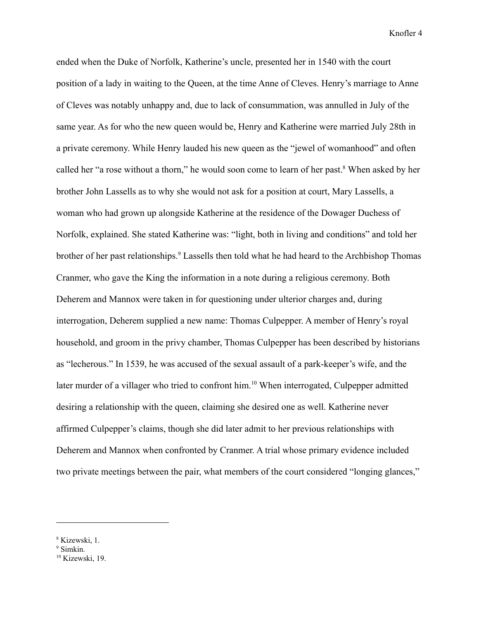ended when the Duke of Norfolk, Katherine's uncle, presented her in 1540 with the court position of a lady in waiting to the Queen, at the time Anne of Cleves. Henry's marriage to Anne of Cleves was notably unhappy and, due to lack of consummation, was annulled in July of the same year. As for who the new queen would be, Henry and Katherine were married July 28th in a private ceremony. While Henry lauded his new queen as the "jewel of womanhood" and often called her "a rose without a thorn," he would soon come to learn of her past.<sup>8</sup> When asked by her brother John Lassells as to why she would not ask for a position at court, Mary Lassells, a woman who had grown up alongside Katherine at the residence of the Dowager Duchess of Norfolk, explained. She stated Katherine was: "light, both in living and conditions" and told her brother of her past relationships.<sup>9</sup> Lassells then told what he had heard to the Archbishop Thomas Cranmer, who gave the King the information in a note during a religious ceremony. Both Deherem and Mannox were taken in for questioning under ulterior charges and, during interrogation, Deherem supplied a new name: Thomas Culpepper. A member of Henry's royal household, and groom in the privy chamber, Thomas Culpepper has been described by historians as "lecherous." In 1539, he was accused of the sexual assault of a park-keeper's wife, and the later murder of a villager who tried to confront him.<sup>10</sup> When interrogated, Culpepper admitted desiring a relationship with the queen, claiming she desired one as well. Katherine never affirmed Culpepper's claims, though she did later admit to her previous relationships with Deherem and Mannox when confronted by Cranmer. A trial whose primary evidence included two private meetings between the pair, what members of the court considered "longing glances,"

<sup>8</sup> Kizewski, 1.

<sup>&</sup>lt;sup>9</sup> Simkin.

<sup>&</sup>lt;sup>10</sup> Kizewski, 19.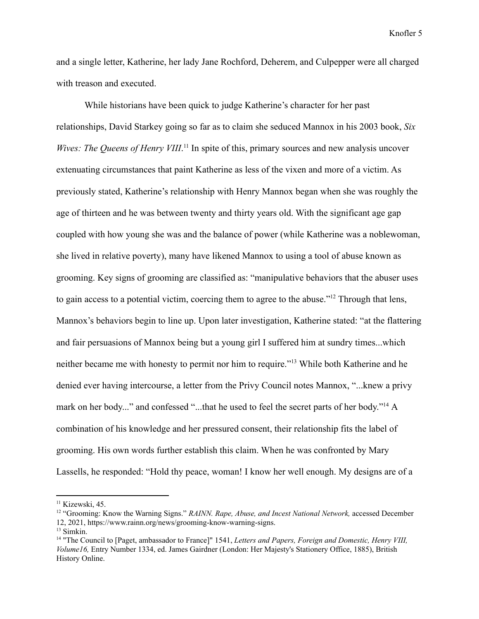and a single letter, Katherine, her lady Jane Rochford, Deherem, and Culpepper were all charged with treason and executed.

While historians have been quick to judge Katherine's character for her past relationships, David Starkey going so far as to claim she seduced Mannox in his 2003 book, *Six* Wives: The Queens of Henry VIII.<sup>11</sup> In spite of this, primary sources and new analysis uncover extenuating circumstances that paint Katherine as less of the vixen and more of a victim. As previously stated, Katherine's relationship with Henry Mannox began when she was roughly the age of thirteen and he was between twenty and thirty years old. With the significant age gap coupled with how young she was and the balance of power (while Katherine was a noblewoman, she lived in relative poverty), many have likened Mannox to using a tool of abuse known as grooming. Key signs of grooming are classified as: "manipulative behaviors that the abuser uses to gain access to a potential victim, coercing them to agree to the abuse."<sup>12</sup> Through that lens, Mannox's behaviors begin to line up. Upon later investigation, Katherine stated: "at the flattering and fair persuasions of Mannox being but a young girl I suffered him at sundry times...which neither became me with honesty to permit nor him to require."<sup>13</sup> While both Katherine and he denied ever having intercourse, a letter from the Privy Council notes Mannox, "...knew a privy mark on her body..." and confessed "...that he used to feel the secret parts of her body."<sup>14</sup> A combination of his knowledge and her pressured consent, their relationship fits the label of grooming. His own words further establish this claim. When he was confronted by Mary Lassells, he responded: "Hold thy peace, woman! I know her well enough. My designs are of a

<sup>&</sup>lt;sup>11</sup> Kizewski, 45.

<sup>12</sup> "Grooming: Know the Warning Signs." *RAINN. Rape, Abuse, and Incest National Network,* accessed December 12, 2021, https://www.rainn.org/news/grooming-know-warning-signs.

<sup>13</sup> Simkin.

<sup>14</sup> "The Council to [Paget, ambassador to France]" 1541, *Letters and Papers, Foreign and Domestic, Henry VIII, Volume16,* Entry Number 1334, ed. James Gairdner (London: Her Majesty's Stationery Office, 1885), British History Online.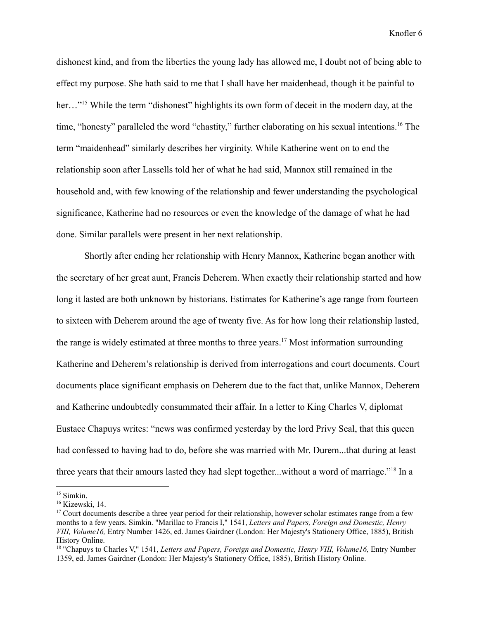dishonest kind, and from the liberties the young lady has allowed me, I doubt not of being able to effect my purpose. She hath said to me that I shall have her maidenhead, though it be painful to her..."<sup>15</sup> While the term "dishonest" highlights its own form of deceit in the modern day, at the time, "honesty" paralleled the word "chastity," further elaborating on his sexual intentions.<sup>16</sup> The term "maidenhead" similarly describes her virginity. While Katherine went on to end the relationship soon after Lassells told her of what he had said, Mannox still remained in the household and, with few knowing of the relationship and fewer understanding the psychological significance, Katherine had no resources or even the knowledge of the damage of what he had done. Similar parallels were present in her next relationship.

Shortly after ending her relationship with Henry Mannox, Katherine began another with the secretary of her great aunt, Francis Deherem. When exactly their relationship started and how long it lasted are both unknown by historians. Estimates for Katherine's age range from fourteen to sixteen with Deherem around the age of twenty five. As for how long their relationship lasted, the range is widely estimated at three months to three years.<sup>17</sup> Most information surrounding Katherine and Deherem's relationship is derived from interrogations and court documents. Court documents place significant emphasis on Deherem due to the fact that, unlike Mannox, Deherem and Katherine undoubtedly consummated their affair. In a letter to King Charles V, diplomat Eustace Chapuys writes: "news was confirmed yesterday by the lord Privy Seal, that this queen had confessed to having had to do, before she was married with Mr. Durem...that during at least three years that their amours lasted they had slept together...without a word of marriage."<sup>18</sup> In a

<sup>&</sup>lt;sup>15</sup> Simkin.

<sup>16</sup> Kizewski, 14.

 $17$  Court documents describe a three year period for their relationship, however scholar estimates range from a few months to a few years. Simkin. "Marillac to Francis I," 1541, *Letters and Papers, Foreign and Domestic, Henry VIII, Volume16,* Entry Number 1426, ed. James Gairdner (London: Her Majesty's Stationery Office, 1885), British History Online.

<sup>18</sup> "Chapuys to Charles V," 1541, *Letters and Papers, Foreign and Domestic, Henry VIII, Volume16,* Entry Number 1359, ed. James Gairdner (London: Her Majesty's Stationery Office, 1885), British History Online.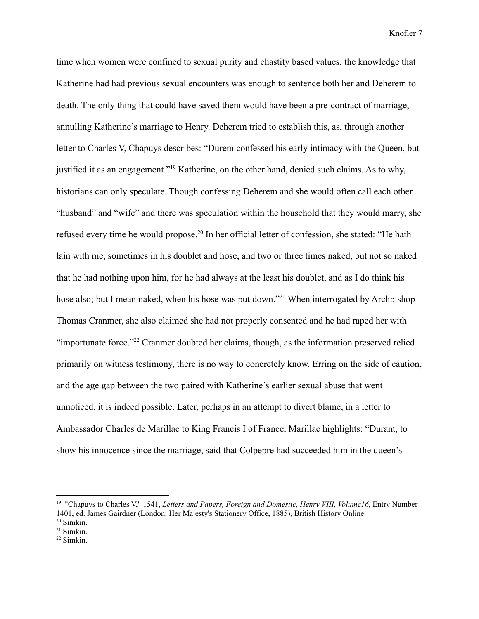time when women were confined to sexual purity and chastity based values, the knowledge that Katherine had had previous sexual encounters was enough to sentence both her and Deherem to death. The only thing that could have saved them would have been a pre-contract of marriage, annulling Katherine's marriage to Henry. Deherem tried to establish this, as, through another letter to Charles V, Chapuys describes: "Durem confessed his early intimacy with the Queen, but justified it as an engagement."<sup>19</sup> Katherine, on the other hand, denied such claims. As to why, historians can only speculate. Though confessing Deherem and she would often call each other "husband" and "wife" and there was speculation within the household that they would marry, she refused every time he would propose.<sup>20</sup> In her official letter of confession, she stated: "He hath lain with me, sometimes in his doublet and hose, and two or three times naked, but not so naked that he had nothing upon him, for he had always at the least his doublet, and as I do think his hose also; but I mean naked, when his hose was put down."<sup>21</sup> When interrogated by Archbishop Thomas Cranmer, she also claimed she had not properly consented and he had raped her with "importunate force."<sup>22</sup> Cranmer doubted her claims, though, as the information preserved relied primarily on witness testimony, there is no way to concretely know. Erring on the side of caution, and the age gap between the two paired with Katherine's earlier sexual abuse that went unnoticed, it is indeed possible. Later, perhaps in an attempt to divert blame, in a letter to Ambassador Charles de Marillac to King Francis I of France, Marillac highlights: "Durant, to show his innocence since the marriage, said that Colpepre had succeeded him in the queen's

<sup>19</sup> "Chapuys to Charles V," 1541, *Letters and Papers, Foreign and Domestic, Henry VIII, Volume16,* Entry Number 1401, ed. James Gairdner (London: Her Majesty's Stationery Office, 1885), British History Online.

 $20$  Simkin.

<sup>21</sup> Simkin.

<sup>22</sup> Simkin.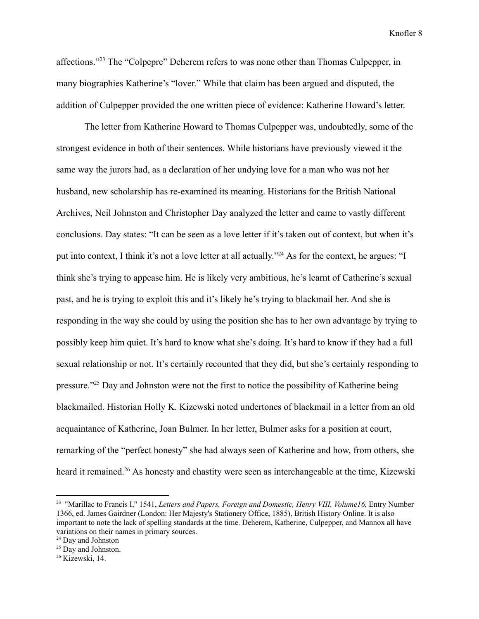affections."<sup>23</sup> The "Colpepre" Deherem refers to was none other than Thomas Culpepper, in many biographies Katherine's "lover." While that claim has been argued and disputed, the addition of Culpepper provided the one written piece of evidence: Katherine Howard's letter.

The letter from Katherine Howard to Thomas Culpepper was, undoubtedly, some of the strongest evidence in both of their sentences. While historians have previously viewed it the same way the jurors had, as a declaration of her undying love for a man who was not her husband, new scholarship has re-examined its meaning. Historians for the British National Archives, Neil Johnston and Christopher Day analyzed the letter and came to vastly different conclusions. Day states: "It can be seen as a love letter if it's taken out of context, but when it's put into context, I think it's not a love letter at all actually."<sup>24</sup> As for the context, he argues: "I think she's trying to appease him. He is likely very ambitious, he's learnt of Catherine's sexual past, and he is trying to exploit this and it's likely he's trying to blackmail her. And she is responding in the way she could by using the position she has to her own advantage by trying to possibly keep him quiet. It's hard to know what she's doing. It's hard to know if they had a full sexual relationship or not. It's certainly recounted that they did, but she's certainly responding to pressure."<sup>25</sup> Day and Johnston were not the first to notice the possibility of Katherine being blackmailed. Historian Holly K. Kizewski noted undertones of blackmail in a letter from an old acquaintance of Katherine, Joan Bulmer. In her letter, Bulmer asks for a position at court, remarking of the "perfect honesty" she had always seen of Katherine and how, from others, she heard it remained.<sup>26</sup> As honesty and chastity were seen as interchangeable at the time, Kizewski

<sup>23</sup> "Marillac to Francis I," 1541, *Letters and Papers, Foreign and Domestic, Henry VIII, Volume16,* Entry Number 1366, ed. James Gairdner (London: Her Majesty's Stationery Office, 1885), British History Online. It is also important to note the lack of spelling standards at the time. Deherem, Katherine, Culpepper, and Mannox all have variations on their names in primary sources.

<sup>24</sup> Day and Johnston

 $25$  Day and Johnston.

<sup>26</sup> Kizewski, 14.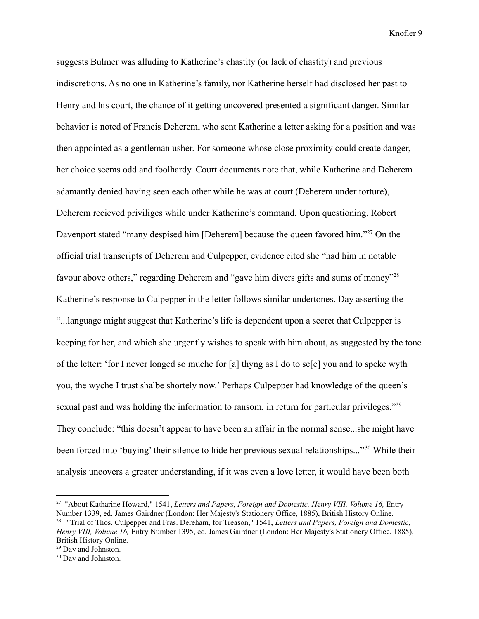suggests Bulmer was alluding to Katherine's chastity (or lack of chastity) and previous indiscretions. As no one in Katherine's family, nor Katherine herself had disclosed her past to Henry and his court, the chance of it getting uncovered presented a significant danger. Similar behavior is noted of Francis Deherem, who sent Katherine a letter asking for a position and was then appointed as a gentleman usher. For someone whose close proximity could create danger, her choice seems odd and foolhardy. Court documents note that, while Katherine and Deherem adamantly denied having seen each other while he was at court (Deherem under torture), Deherem recieved priviliges while under Katherine's command. Upon questioning, Robert Davenport stated "many despised him [Deherem] because the queen favored him."<sup>27</sup> On the official trial transcripts of Deherem and Culpepper, evidence cited she "had him in notable favour above others," regarding Deherem and "gave him divers gifts and sums of money"<sup>28</sup> Katherine's response to Culpepper in the letter follows similar undertones. Day asserting the "...language might suggest that Katherine's life is dependent upon a secret that Culpepper is keeping for her, and which she urgently wishes to speak with him about, as suggested by the tone of the letter: 'for I never longed so muche for [a] thyng as I do to se[e] you and to speke wyth you, the wyche I trust shalbe shortely now.' Perhaps Culpepper had knowledge of the queen's sexual past and was holding the information to ransom, in return for particular privileges."<sup>29</sup> They conclude: "this doesn't appear to have been an affair in the normal sense...she might have been forced into 'buying' their silence to hide her previous sexual relationships..."<sup>30</sup> While their analysis uncovers a greater understanding, if it was even a love letter, it would have been both

<sup>28</sup> "Trial of Thos. Culpepper and Fras. Dereham, for Treason," 1541, *Letters and Papers, Foreign and Domestic, Henry VIII, Volume 16,* Entry Number 1395, ed. James Gairdner (London: Her Majesty's Stationery Office, 1885), <sup>27</sup> "About Katharine Howard," 1541, *Letters and Papers, Foreign and Domestic, Henry VIII, Volume 16,* Entry Number 1339, ed. James Gairdner (London: Her Majesty's Stationery Office, 1885), British History Online.

<sup>&</sup>lt;sup>29</sup> Day and Johnston. British History Online.

<sup>&</sup>lt;sup>30</sup> Day and Johnston.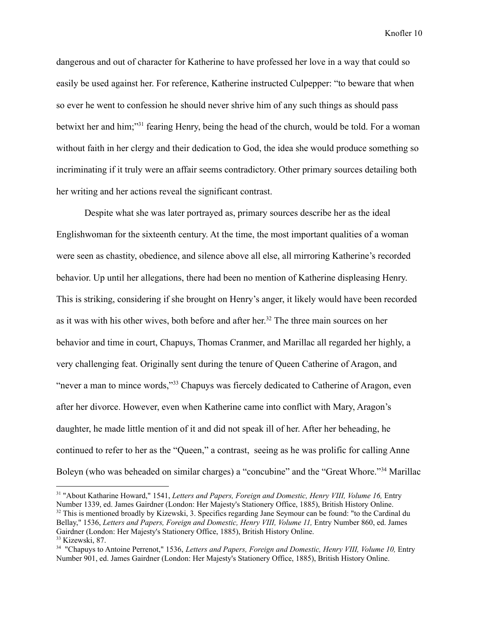dangerous and out of character for Katherine to have professed her love in a way that could so easily be used against her. For reference, Katherine instructed Culpepper: "to beware that when so ever he went to confession he should never shrive him of any such things as should pass betwixt her and him;"<sup>31</sup> fearing Henry, being the head of the church, would be told. For a woman without faith in her clergy and their dedication to God, the idea she would produce something so incriminating if it truly were an affair seems contradictory. Other primary sources detailing both her writing and her actions reveal the significant contrast.

Despite what she was later portrayed as, primary sources describe her as the ideal Englishwoman for the sixteenth century. At the time, the most important qualities of a woman were seen as chastity, obedience, and silence above all else, all mirroring Katherine's recorded behavior. Up until her allegations, there had been no mention of Katherine displeasing Henry. This is striking, considering if she brought on Henry's anger, it likely would have been recorded as it was with his other wives, both before and after her. <sup>32</sup> The three main sources on her behavior and time in court, Chapuys, Thomas Cranmer, and Marillac all regarded her highly, a very challenging feat. Originally sent during the tenure of Queen Catherine of Aragon, and "never a man to mince words,"<sup>33</sup> Chapuys was fiercely dedicated to Catherine of Aragon, even after her divorce. However, even when Katherine came into conflict with Mary, Aragon's daughter, he made little mention of it and did not speak ill of her. After her beheading, he continued to refer to her as the "Queen," a contrast, seeing as he was prolific for calling Anne Boleyn (who was beheaded on similar charges) a "concubine" and the "Great Whore."<sup>34</sup> Marillac

<sup>33</sup> Kizewski, 87.  $32$  This is mentioned broadly by Kizewski, 3. Specifics regarding Jane Seymour can be found: "to the Cardinal du Bellay," 1536, *Letters and Papers, Foreign and Domestic, Henry VIII, Volume 11,* Entry Number 860, ed. James Gairdner (London: Her Majesty's Stationery Office, 1885), British History Online. <sup>31</sup> "About Katharine Howard," 1541, *Letters and Papers, Foreign and Domestic, Henry VIII, Volume 16,* Entry Number 1339, ed. James Gairdner (London: Her Majesty's Stationery Office, 1885), British History Online.

<sup>34</sup> "Chapuys to Antoine Perrenot," 1536, *Letters and Papers, Foreign and Domestic, Henry VIII, Volume 10,* Entry Number 901, ed. James Gairdner (London: Her Majesty's Stationery Office, 1885), British History Online.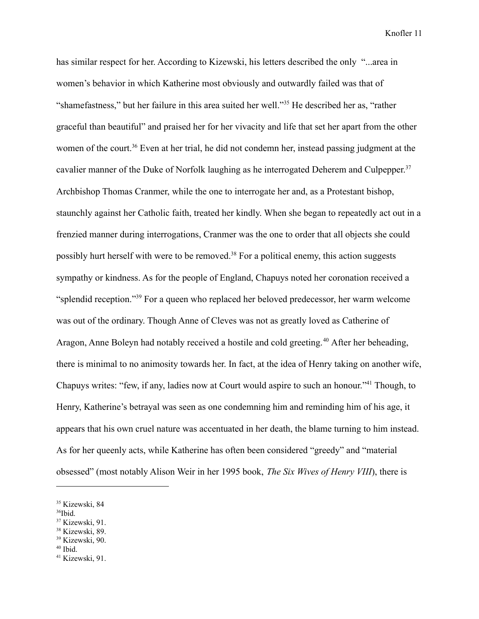has similar respect for her. According to Kizewski, his letters described the only "...area in women's behavior in which Katherine most obviously and outwardly failed was that of "shamefastness," but her failure in this area suited her well."<sup>35</sup> He described her as, "rather graceful than beautiful" and praised her for her vivacity and life that set her apart from the other women of the court.<sup>36</sup> Even at her trial, he did not condemn her, instead passing judgment at the cavalier manner of the Duke of Norfolk laughing as he interrogated Deherem and Culpepper.<sup>37</sup> Archbishop Thomas Cranmer, while the one to interrogate her and, as a Protestant bishop, staunchly against her Catholic faith, treated her kindly. When she began to repeatedly act out in a frenzied manner during interrogations, Cranmer was the one to order that all objects she could possibly hurt herself with were to be removed.<sup>38</sup> For a political enemy, this action suggests sympathy or kindness. As for the people of England, Chapuys noted her coronation received a "splendid reception."<sup>39</sup> For a queen who replaced her beloved predecessor, her warm welcome was out of the ordinary. Though Anne of Cleves was not as greatly loved as Catherine of Aragon, Anne Boleyn had notably received a hostile and cold greeting. <sup>40</sup> After her beheading, there is minimal to no animosity towards her. In fact, at the idea of Henry taking on another wife, Chapuys writes: "few, if any, ladies now at Court would aspire to such an honour."<sup>41</sup> Though, to Henry, Katherine's betrayal was seen as one condemning him and reminding him of his age, it appears that his own cruel nature was accentuated in her death, the blame turning to him instead. As for her queenly acts, while Katherine has often been considered "greedy" and "material obsessed" (most notably Alison Weir in her 1995 book, *The Six Wives of Henry VIII*), there is

- <sup>37</sup> Kizewski, 91.
- <sup>38</sup> Kizewski, 89.
- <sup>39</sup> Kizewski, 90.
- $40$  Ibid.

<sup>35</sup> Kizewski, 84

 $36$ Ibid.

<sup>41</sup> Kizewski, 91.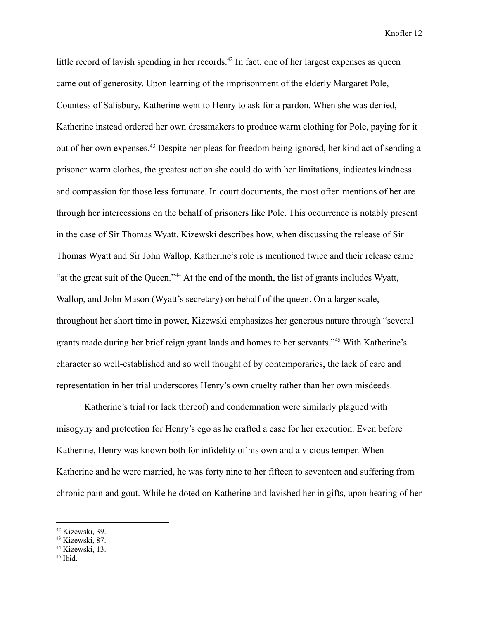little record of lavish spending in her records.<sup>42</sup> In fact, one of her largest expenses as queen came out of generosity. Upon learning of the imprisonment of the elderly Margaret Pole, Countess of Salisbury, Katherine went to Henry to ask for a pardon. When she was denied, Katherine instead ordered her own dressmakers to produce warm clothing for Pole, paying for it out of her own expenses.<sup>43</sup> Despite her pleas for freedom being ignored, her kind act of sending a prisoner warm clothes, the greatest action she could do with her limitations, indicates kindness and compassion for those less fortunate. In court documents, the most often mentions of her are through her intercessions on the behalf of prisoners like Pole. This occurrence is notably present in the case of Sir Thomas Wyatt. Kizewski describes how, when discussing the release of Sir Thomas Wyatt and Sir John Wallop, Katherine's role is mentioned twice and their release came "at the great suit of the Queen."<sup>44</sup> At the end of the month, the list of grants includes Wyatt, Wallop, and John Mason (Wyatt's secretary) on behalf of the queen. On a larger scale, throughout her short time in power, Kizewski emphasizes her generous nature through "several grants made during her brief reign grant lands and homes to her servants."<sup>45</sup> With Katherine's character so well-established and so well thought of by contemporaries, the lack of care and representation in her trial underscores Henry's own cruelty rather than her own misdeeds.

Katherine's trial (or lack thereof) and condemnation were similarly plagued with misogyny and protection for Henry's ego as he crafted a case for her execution. Even before Katherine, Henry was known both for infidelity of his own and a vicious temper. When Katherine and he were married, he was forty nine to her fifteen to seventeen and suffering from chronic pain and gout. While he doted on Katherine and lavished her in gifts, upon hearing of her

<sup>42</sup> Kizewski, 39.

<sup>43</sup> Kizewski, 87.

<sup>44</sup> Kizewski, 13.

<sup>45</sup> Ibid.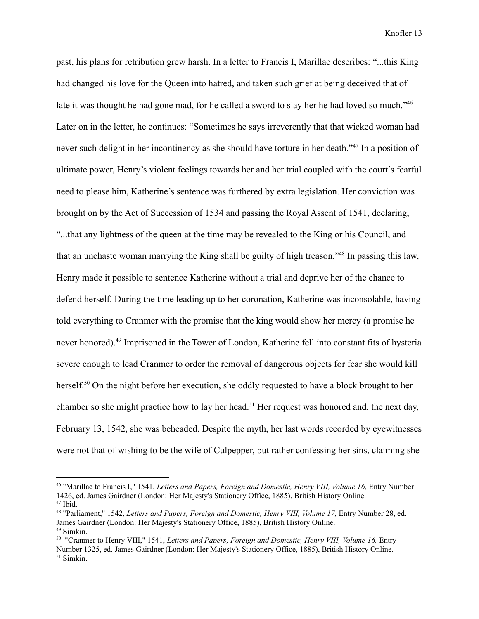past, his plans for retribution grew harsh. In a letter to Francis I, Marillac describes: "...this King had changed his love for the Queen into hatred, and taken such grief at being deceived that of late it was thought he had gone mad, for he called a sword to slay her he had loved so much."<sup>46</sup> Later on in the letter, he continues: "Sometimes he says irreverently that that wicked woman had never such delight in her incontinency as she should have torture in her death."<sup>47</sup> In a position of ultimate power, Henry's violent feelings towards her and her trial coupled with the court's fearful need to please him, Katherine's sentence was furthered by extra legislation. Her conviction was brought on by the Act of Succession of 1534 and passing the Royal Assent of 1541, declaring, "...that any lightness of the queen at the time may be revealed to the King or his Council, and that an unchaste woman marrying the King shall be guilty of high treason."<sup>48</sup> In passing this law, Henry made it possible to sentence Katherine without a trial and deprive her of the chance to defend herself. During the time leading up to her coronation, Katherine was inconsolable, having told everything to Cranmer with the promise that the king would show her mercy (a promise he never honored).<sup>49</sup> Imprisoned in the Tower of London, Katherine fell into constant fits of hysteria severe enough to lead Cranmer to order the removal of dangerous objects for fear she would kill herself.<sup>50</sup> On the night before her execution, she oddly requested to have a block brought to her chamber so she might practice how to lay her head.<sup>51</sup> Her request was honored and, the next day, February 13, 1542, she was beheaded. Despite the myth, her last words recorded by eyewitnesses were not that of wishing to be the wife of Culpepper, but rather confessing her sins, claiming she

 $47$  Ibid. <sup>46</sup> "Marillac to Francis I," 1541, *Letters and Papers, Foreign and Domestic, Henry VIII, Volume 16,* Entry Number 1426, ed. James Gairdner (London: Her Majesty's Stationery Office, 1885), British History Online.

<sup>49</sup> Simkin. <sup>48</sup> "Parliament," 1542, *Letters and Papers, Foreign and Domestic, Henry VIII, Volume 17,* Entry Number 28, ed. James Gairdner (London: Her Majesty's Stationery Office, 1885), British History Online.

<sup>51</sup> Simkin. <sup>50</sup> "Cranmer to Henry VIII," 1541, *Letters and Papers, Foreign and Domestic, Henry VIII, Volume 16,* Entry Number 1325, ed. James Gairdner (London: Her Majesty's Stationery Office, 1885), British History Online.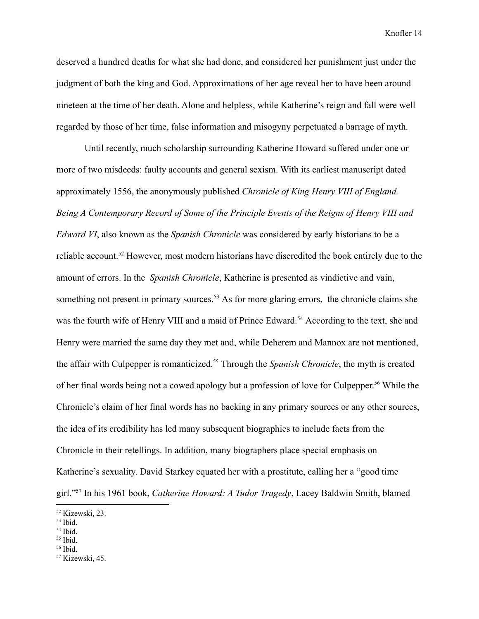deserved a hundred deaths for what she had done, and considered her punishment just under the judgment of both the king and God. Approximations of her age reveal her to have been around nineteen at the time of her death. Alone and helpless, while Katherine's reign and fall were well regarded by those of her time, false information and misogyny perpetuated a barrage of myth.

Until recently, much scholarship surrounding Katherine Howard suffered under one or more of two misdeeds: faulty accounts and general sexism. With its earliest manuscript dated approximately 1556, the anonymously published *Chronicle of King Henry VIII of England. Being A Contemporary Record of Some of the Principle Events of the Reigns of Henry VIII and Edward VI*, also known as the *Spanish Chronicle* was considered by early historians to be a reliable account.<sup>52</sup> However, most modern historians have discredited the book entirely due to the amount of errors. In the *Spanish Chronicle*, Katherine is presented as vindictive and vain, something not present in primary sources.<sup>53</sup> As for more glaring errors, the chronicle claims she was the fourth wife of Henry VIII and a maid of Prince Edward.<sup>54</sup> According to the text, she and Henry were married the same day they met and, while Deherem and Mannox are not mentioned, the affair with Culpepper is romanticized.<sup>55</sup> Through the *Spanish Chronicle*, the myth is created of her final words being not a cowed apology but a profession of love for Culpepper.<sup>56</sup> While the Chronicle's claim of her final words has no backing in any primary sources or any other sources, the idea of its credibility has led many subsequent biographies to include facts from the Chronicle in their retellings. In addition, many biographers place special emphasis on Katherine's sexuality. David Starkey equated her with a prostitute, calling her a "good time girl."<sup>57</sup> In his 1961 book, *Catherine Howard: A Tudor Tragedy*, Lacey Baldwin Smith, blamed

<sup>52</sup> Kizewski, 23.

 $53$  Ibid.

<sup>54</sup> Ibid.

 $55$  Ibid.

 $56$  Ibid.

<sup>57</sup> Kizewski, 45.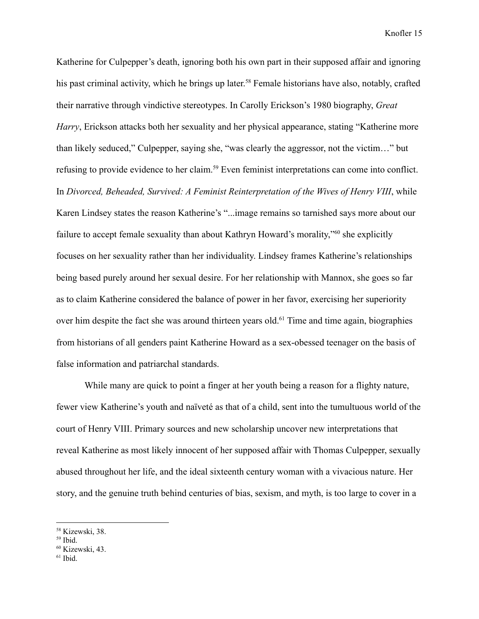Katherine for Culpepper's death, ignoring both his own part in their supposed affair and ignoring his past criminal activity, which he brings up later.<sup>58</sup> Female historians have also, notably, crafted their narrative through vindictive stereotypes. In Carolly Erickson's 1980 biography, *Great Harry*, Erickson attacks both her sexuality and her physical appearance, stating "Katherine more than likely seduced," Culpepper, saying she, "was clearly the aggressor, not the victim…" but refusing to provide evidence to her claim.<sup>59</sup> Even feminist interpretations can come into conflict. In *Divorced, Beheaded, Survived: A Feminist Reinterpretation of the Wives of Henry VIII*, while Karen Lindsey states the reason Katherine's "...image remains so tarnished says more about our failure to accept female sexuality than about Kathryn Howard's morality,"<sup>60</sup> she explicitly focuses on her sexuality rather than her individuality. Lindsey frames Katherine's relationships being based purely around her sexual desire. For her relationship with Mannox, she goes so far as to claim Katherine considered the balance of power in her favor, exercising her superiority over him despite the fact she was around thirteen years old.<sup>61</sup> Time and time again, biographies from historians of all genders paint Katherine Howard as a sex-obessed teenager on the basis of false information and patriarchal standards.

While many are quick to point a finger at her youth being a reason for a flighty nature, fewer view Katherine's youth and naïveté as that of a child, sent into the tumultuous world of the court of Henry VIII. Primary sources and new scholarship uncover new interpretations that reveal Katherine as most likely innocent of her supposed affair with Thomas Culpepper, sexually abused throughout her life, and the ideal sixteenth century woman with a vivacious nature. Her story, and the genuine truth behind centuries of bias, sexism, and myth, is too large to cover in a

<sup>58</sup> Kizewski, 38.

<sup>59</sup> Ibid.

<sup>60</sup> Kizewski, 43.

 $61$  Ibid.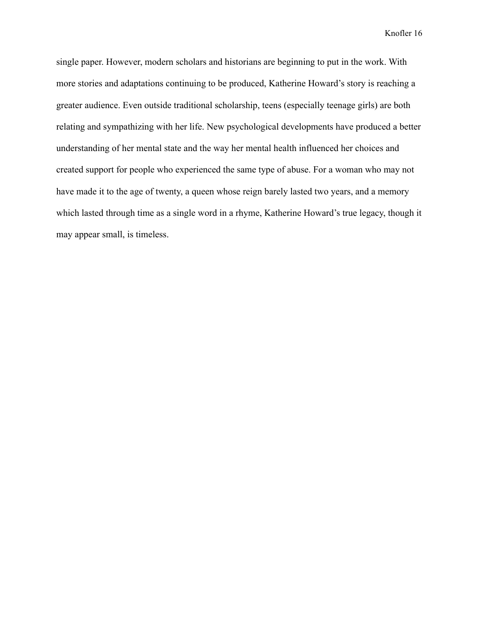single paper. However, modern scholars and historians are beginning to put in the work. With more stories and adaptations continuing to be produced, Katherine Howard's story is reaching a greater audience. Even outside traditional scholarship, teens (especially teenage girls) are both relating and sympathizing with her life. New psychological developments have produced a better understanding of her mental state and the way her mental health influenced her choices and created support for people who experienced the same type of abuse. For a woman who may not have made it to the age of twenty, a queen whose reign barely lasted two years, and a memory which lasted through time as a single word in a rhyme, Katherine Howard's true legacy, though it may appear small, is timeless.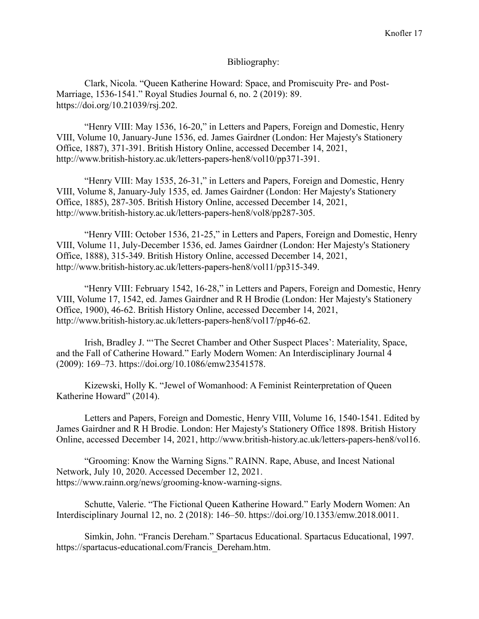## Bibliography:

Clark, Nicola. "Queen Katherine Howard: Space, and Promiscuity Pre- and Post-Marriage, 1536-1541." Royal Studies Journal 6, no. 2 (2019): 89. https://doi.org/10.21039/rsj.202.

"Henry VIII: May 1536, 16-20," in Letters and Papers, Foreign and Domestic, Henry VIII, Volume 10, January-June 1536, ed. James Gairdner (London: Her Majesty's Stationery Office, 1887), 371-391. British History Online, accessed December 14, 2021, http://www.british-history.ac.uk/letters-papers-hen8/vol10/pp371-391.

"Henry VIII: May 1535, 26-31," in Letters and Papers, Foreign and Domestic, Henry VIII, Volume 8, January-July 1535, ed. James Gairdner (London: Her Majesty's Stationery Office, 1885), 287-305. British History Online, accessed December 14, 2021, http://www.british-history.ac.uk/letters-papers-hen8/vol8/pp287-305.

"Henry VIII: October 1536, 21-25," in Letters and Papers, Foreign and Domestic, Henry VIII, Volume 11, July-December 1536, ed. James Gairdner (London: Her Majesty's Stationery Office, 1888), 315-349. British History Online, accessed December 14, 2021, http://www.british-history.ac.uk/letters-papers-hen8/vol11/pp315-349.

"Henry VIII: February 1542, 16-28," in Letters and Papers, Foreign and Domestic, Henry VIII, Volume 17, 1542, ed. James Gairdner and R H Brodie (London: Her Majesty's Stationery Office, 1900), 46-62. British History Online, accessed December 14, 2021, http://www.british-history.ac.uk/letters-papers-hen8/vol17/pp46-62.

Irish, Bradley J. "'The Secret Chamber and Other Suspect Places': Materiality, Space, and the Fall of Catherine Howard." Early Modern Women: An Interdisciplinary Journal 4 (2009): 169–73. https://doi.org/10.1086/emw23541578.

Kizewski, Holly K. "Jewel of Womanhood: A Feminist Reinterpretation of Queen Katherine Howard" (2014).

Letters and Papers, Foreign and Domestic, Henry VIII, Volume 16, 1540-1541. Edited by James Gairdner and R H Brodie. London: Her Majesty's Stationery Office 1898. British History Online, accessed December 14, 2021, http://www.british-history.ac.uk/letters-papers-hen8/vol16.

"Grooming: Know the Warning Signs." RAINN. Rape, Abuse, and Incest National Network, July 10, 2020. Accessed December 12, 2021. https://www.rainn.org/news/grooming-know-warning-signs.

Schutte, Valerie. "The Fictional Queen Katherine Howard." Early Modern Women: An Interdisciplinary Journal 12, no. 2 (2018): 146–50. https://doi.org/10.1353/emw.2018.0011.

Simkin, John. "Francis Dereham." Spartacus Educational. Spartacus Educational, 1997. https://spartacus-educational.com/Francis\_Dereham.htm.